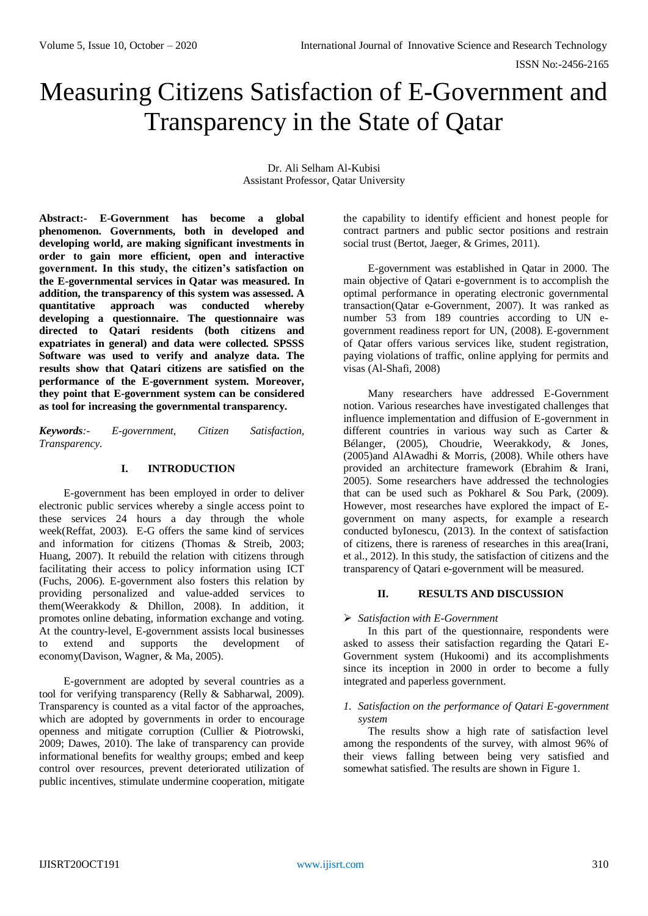# Measuring Citizens Satisfaction of E-Government and Transparency in the State of Qatar

Dr. Ali Selham Al-Kubisi Assistant Professor, Qatar University

**Abstract:- E-Government has become a global phenomenon. Governments, both in developed and developing world, are making significant investments in order to gain more efficient, open and interactive government. In this study, the citizen's satisfaction on the E-governmental services in Qatar was measured. In addition, the transparency of this system was assessed. A quantitative approach was conducted whereby developing a questionnaire. The questionnaire was directed to Qatari residents (both citizens and expatriates in general) and data were collected. SPSSS Software was used to verify and analyze data. The results show that Qatari citizens are satisfied on the performance of the E-government system. Moreover, they point that E-government system can be considered as tool for increasing the governmental transparency.**

*Keywords:- E-government, Citizen Satisfaction, Transparency.*

# **I. INTRODUCTION**

E-government has been employed in order to deliver electronic public services whereby a single access point to these services 24 hours a day through the whole week(Reffat, 2003). E-G offers the same kind of services and information for citizens (Thomas & Streib, 2003; Huang, 2007). It rebuild the relation with citizens through facilitating their access to policy information using ICT (Fuchs, 2006). E-government also fosters this relation by providing personalized and value-added services to them(Weerakkody & Dhillon, 2008). In addition, it promotes online debating, information exchange and voting. At the country-level, E-government assists local businesses to extend and supports the development of economy(Davison, Wagner, & Ma, 2005).

E-government are adopted by several countries as a tool for verifying transparency (Relly & Sabharwal, 2009). Transparency is counted as a vital factor of the approaches, which are adopted by governments in order to encourage openness and mitigate corruption (Cullier & Piotrowski, 2009; Dawes, 2010). The lake of transparency can provide informational benefits for wealthy groups; embed and keep control over resources, prevent deteriorated utilization of public incentives, stimulate undermine cooperation, mitigate

the capability to identify efficient and honest people for contract partners and public sector positions and restrain social trust (Bertot, Jaeger, & Grimes, 2011).

E-government was established in Qatar in 2000. The main objective of Qatari e-government is to accomplish the optimal performance in operating electronic governmental transaction(Qatar e-Government, 2007). It was ranked as number 53 from 189 countries according to UN egovernment readiness report for UN, (2008). E-government of Qatar offers various services like, student registration, paying violations of traffic, online applying for permits and visas (Al-Shafi, 2008)

Many researchers have addressed E-Government notion. Various researches have investigated challenges that influence implementation and diffusion of E-government in different countries in various way such as Carter & Bélanger, (2005), Choudrie, Weerakkody, & Jones, (2005)and AlAwadhi & Morris, (2008). While others have provided an architecture framework (Ebrahim & Irani, 2005). Some researchers have addressed the technologies that can be used such as Pokharel & Sou Park, (2009). However, most researches have explored the impact of Egovernment on many aspects, for example a research conducted byIonescu, (2013). In the context of satisfaction of citizens, there is rareness of researches in this area(Irani, et al., 2012). In this study, the satisfaction of citizens and the transparency of Qatari e-government will be measured.

# **II. RESULTS AND DISCUSSION**

## *Satisfaction with E-Government*

In this part of the questionnaire, respondents were asked to assess their satisfaction regarding the Qatari E-Government system (Hukoomi) and its accomplishments since its inception in 2000 in order to become a fully integrated and paperless government.

## *1. Satisfaction on the performance of Qatari E-government system*

The results show a high rate of satisfaction level among the respondents of the survey, with almost 96% of their views falling between being very satisfied and somewhat satisfied. The results are shown in Figure 1.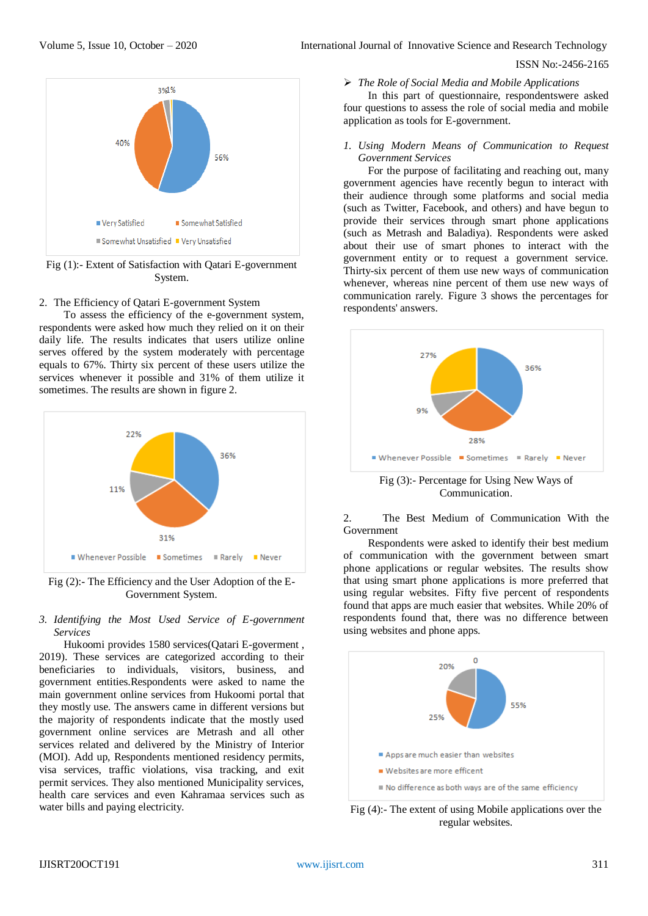## ISSN No:-2456-2165



Fig (1):- Extent of Satisfaction with Qatari E-government System.

## 2. The Efficiency of Qatari E-government System

To assess the efficiency of the e-government system, respondents were asked how much they relied on it on their daily life. The results indicates that users utilize online serves offered by the system moderately with percentage equals to 67%. Thirty six percent of these users utilize the services whenever it possible and 31% of them utilize it sometimes. The results are shown in figure 2.



Fig (2):- The Efficiency and the User Adoption of the E-Government System.

#### *3. Identifying the Most Used Service of E-government Services*

Hukoomi provides 1580 services(Qatari E-goverment , 2019). These services are categorized according to their beneficiaries to individuals, visitors, business, and government entities.Respondents were asked to name the main government online services from Hukoomi portal that they mostly use. The answers came in different versions but the majority of respondents indicate that the mostly used government online services are Metrash and all other services related and delivered by the Ministry of Interior (MOI). Add up, Respondents mentioned residency permits, visa services, traffic violations, visa tracking, and exit permit services. They also mentioned Municipality services, health care services and even Kahramaa services such as water bills and paying electricity.

## *The Role of Social Media and Mobile Applications*

In this part of questionnaire, respondentswere asked four questions to assess the role of social media and mobile application as tools for E-government.

#### *1. Using Modern Means of Communication to Request Government Services*

For the purpose of facilitating and reaching out, many government agencies have recently begun to interact with their audience through some platforms and social media (such as Twitter, Facebook, and others) and have begun to provide their services through smart phone applications (such as Metrash and Baladiya). Respondents were asked about their use of smart phones to interact with the government entity or to request a government service. Thirty-six percent of them use new ways of communication whenever, whereas nine percent of them use new ways of communication rarely. Figure 3 shows the percentages for respondents' answers.



Communication.

2. The Best Medium of Communication With the Government

Respondents were asked to identify their best medium of communication with the government between smart phone applications or regular websites. The results show that using smart phone applications is more preferred that using regular websites. Fifty five percent of respondents found that apps are much easier that websites. While 20% of respondents found that, there was no difference between using websites and phone apps.



Fig (4):- The extent of using Mobile applications over the regular websites.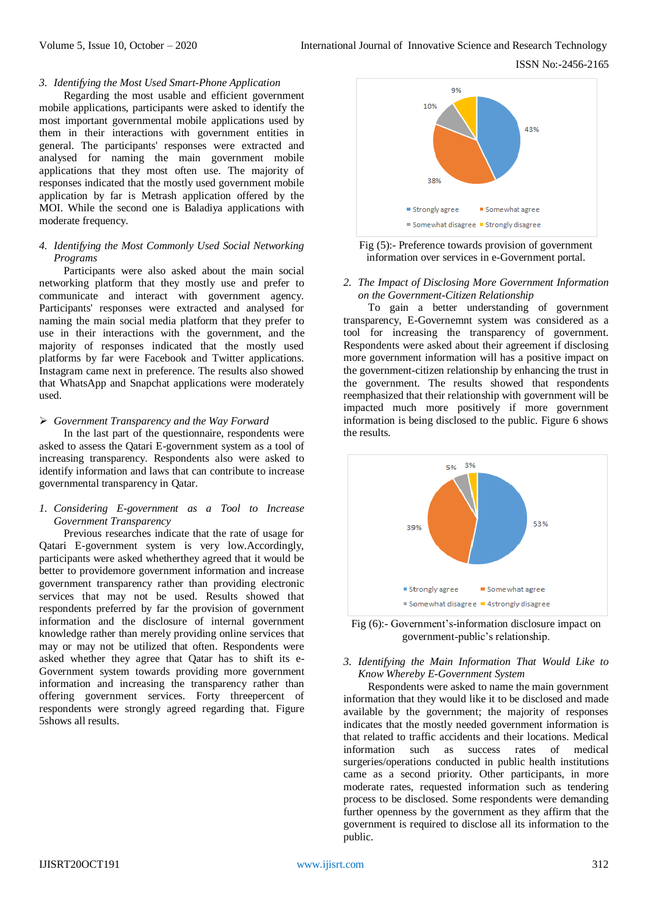## *3. Identifying the Most Used Smart-Phone Application*

Regarding the most usable and efficient government mobile applications, participants were asked to identify the most important governmental mobile applications used by them in their interactions with government entities in general. The participants' responses were extracted and analysed for naming the main government mobile applications that they most often use. The majority of responses indicated that the mostly used government mobile application by far is Metrash application offered by the MOI. While the second one is Baladiya applications with moderate frequency.

## *4. Identifying the Most Commonly Used Social Networking Programs*

Participants were also asked about the main social networking platform that they mostly use and prefer to communicate and interact with government agency. Participants' responses were extracted and analysed for naming the main social media platform that they prefer to use in their interactions with the government, and the majority of responses indicated that the mostly used platforms by far were Facebook and Twitter applications. Instagram came next in preference. The results also showed that WhatsApp and Snapchat applications were moderately used.

## *Government Transparency and the Way Forward*

In the last part of the questionnaire, respondents were asked to assess the Qatari E-government system as a tool of increasing transparency. Respondents also were asked to identify information and laws that can contribute to increase governmental transparency in Qatar.

## *1. Considering E-government as a Tool to Increase Government Transparency*

Previous researches indicate that the rate of usage for Qatari E-government system is very low.Accordingly, participants were asked whetherthey agreed that it would be better to providemore government information and increase government transparency rather than providing electronic services that may not be used. Results showed that respondents preferred by far the provision of government information and the disclosure of internal government knowledge rather than merely providing online services that may or may not be utilized that often. Respondents were asked whether they agree that Qatar has to shift its e-Government system towards providing more government information and increasing the transparency rather than offering government services. Forty threepercent of respondents were strongly agreed regarding that. Figure 5shows all results.



Fig (5):- Preference towards provision of government information over services in e-Government portal.

## *2. The Impact of Disclosing More Government Information on the Government-Citizen Relationship*

To gain a better understanding of government transparency, E-Governemnt system was considered as a tool for increasing the transparency of government. Respondents were asked about their agreement if disclosing more government information will has a positive impact on the government-citizen relationship by enhancing the trust in the government. The results showed that respondents reemphasized that their relationship with government will be impacted much more positively if more government information is being disclosed to the public. Figure 6 shows the results.





## *3. Identifying the Main Information That Would Like to Know Whereby E-Government System*

Respondents were asked to name the main government information that they would like it to be disclosed and made available by the government; the majority of responses indicates that the mostly needed government information is that related to traffic accidents and their locations. Medical information such as success rates of medical surgeries/operations conducted in public health institutions came as a second priority. Other participants, in more moderate rates, requested information such as tendering process to be disclosed. Some respondents were demanding further openness by the government as they affirm that the government is required to disclose all its information to the public.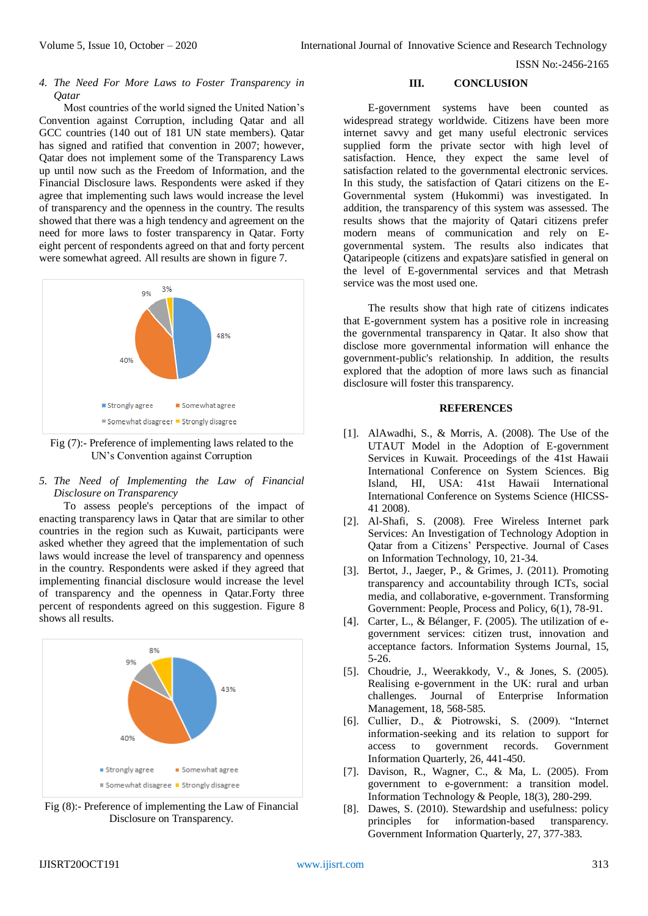ISSN No:-2456-2165

*4. The Need For More Laws to Foster Transparency in Qatar*

Most countries of the world signed the United Nation's Convention against Corruption, including Qatar and all GCC countries (140 out of 181 UN state members). Qatar has signed and ratified that convention in 2007; however, Qatar does not implement some of the Transparency Laws up until now such as the Freedom of Information, and the Financial Disclosure laws. Respondents were asked if they agree that implementing such laws would increase the level of transparency and the openness in the country. The results showed that there was a high tendency and agreement on the need for more laws to foster transparency in Qatar. Forty eight percent of respondents agreed on that and forty percent were somewhat agreed. All results are shown in figure 7.



Fig (7):- Preference of implementing laws related to the UN's Convention against Corruption

## *5. The Need of Implementing the Law of Financial Disclosure on Transparency*

To assess people's perceptions of the impact of enacting transparency laws in Qatar that are similar to other countries in the region such as Kuwait, participants were asked whether they agreed that the implementation of such laws would increase the level of transparency and openness in the country. Respondents were asked if they agreed that implementing financial disclosure would increase the level of transparency and the openness in Qatar.Forty three percent of respondents agreed on this suggestion. Figure 8 shows all results.



Fig (8):- Preference of implementing the Law of Financial Disclosure on Transparency.

## **III. CONCLUSION**

E-government systems have been counted as widespread strategy worldwide. Citizens have been more internet savvy and get many useful electronic services supplied form the private sector with high level of satisfaction. Hence, they expect the same level of satisfaction related to the governmental electronic services. In this study, the satisfaction of Qatari citizens on the E-Governmental system (Hukommi) was investigated. In addition, the transparency of this system was assessed. The results shows that the majority of Qatari citizens prefer modern means of communication and rely on Egovernmental system. The results also indicates that Qataripeople (citizens and expats)are satisfied in general on the level of E-governmental services and that Metrash service was the most used one.

The results show that high rate of citizens indicates that E-government system has a positive role in increasing the governmental transparency in Qatar. It also show that disclose more governmental information will enhance the government-public's relationship. In addition, the results explored that the adoption of more laws such as financial disclosure will foster this transparency.

#### **REFERENCES**

- [1]. AlAwadhi, S., & Morris, A. (2008). The Use of the UTAUT Model in the Adoption of E-government Services in Kuwait. Proceedings of the 41st Hawaii International Conference on System Sciences. Big Island, HI, USA: 41st Hawaii International International Conference on Systems Science (HICSS-41 2008).
- [2]. Al-Shafi, S. (2008). Free Wireless Internet park Services: An Investigation of Technology Adoption in Qatar from a Citizens' Perspective. Journal of Cases on Information Technology, 10, 21-34.
- [3]. Bertot, J., Jaeger, P., & Grimes, J. (2011). Promoting transparency and accountability through ICTs, social media, and collaborative, e-government. Transforming Government: People, Process and Policy, 6(1), 78-91.
- [4]. Carter, L., & Bélanger, F. (2005). The utilization of egovernment services: citizen trust, innovation and acceptance factors. Information Systems Journal, 15, 5-26.
- [5]. Choudrie, J., Weerakkody, V., & Jones, S. (2005). Realising e-government in the UK: rural and urban challenges. Journal of Enterprise Information Management, 18, 568-585.
- [6]. Cullier, D., & Piotrowski, S. (2009). "Internet information-seeking and its relation to support for<br>access to government records. Government to government records. Government Information Quarterly, 26, 441-450.
- [7]. Davison, R., Wagner, C., & Ma, L. (2005). From government to e-government: a transition model. Information Technology & People, 18(3), 280-299.
- [8]. Dawes, S. (2010). Stewardship and usefulness: policy principles for information-based transparency. Government Information Quarterly, 27, 377-383.